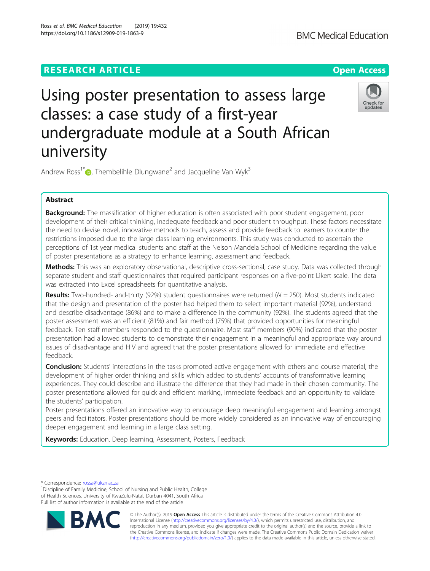# **RESEARCH ARTICLE Example 2014 12:30 The Contract of Contract ACCESS**

# Using poster presentation to assess large classes: a case study of a first-year undergraduate module at a South African university

Andrew Ross<sup>1\*</sup> $\bullet$ [,](http://orcid.org/0000-0002-8921-8318) Thembelihle Dlungwane<sup>2</sup> and Jacqueline Van Wyk<sup>3</sup>

# Abstract

Background: The massification of higher education is often associated with poor student engagement, poor development of their critical thinking, inadequate feedback and poor student throughput. These factors necessitate the need to devise novel, innovative methods to teach, assess and provide feedback to learners to counter the restrictions imposed due to the large class learning environments. This study was conducted to ascertain the perceptions of 1st year medical students and staff at the Nelson Mandela School of Medicine regarding the value of poster presentations as a strategy to enhance learning, assessment and feedback.

Methods: This was an exploratory observational, descriptive cross-sectional, case study. Data was collected through separate student and staff questionnaires that required participant responses on a five-point Likert scale. The data was extracted into Excel spreadsheets for quantitative analysis.

Results: Two-hundred- and-thirty (92%) student questionnaires were returned ( $N = 250$ ). Most students indicated that the design and presentation of the poster had helped them to select important material (92%), understand and describe disadvantage (86%) and to make a difference in the community (92%). The students agreed that the poster assessment was an efficient (81%) and fair method (75%) that provided opportunities for meaningful feedback. Ten staff members responded to the questionnaire. Most staff members (90%) indicated that the poster presentation had allowed students to demonstrate their engagement in a meaningful and appropriate way around issues of disadvantage and HIV and agreed that the poster presentations allowed for immediate and effective feedback.

**Conclusion:** Students' interactions in the tasks promoted active engagement with others and course material; the development of higher order thinking and skills which added to students' accounts of transformative learning experiences. They could describe and illustrate the difference that they had made in their chosen community. The poster presentations allowed for quick and efficient marking, immediate feedback and an opportunity to validate the students' participation.

Poster presentations offered an innovative way to encourage deep meaningful engagement and learning amongst peers and facilitators. Poster presentations should be more widely considered as an innovative way of encouraging deeper engagement and learning in a large class setting.

**Keywords:** Education, Deep learning, Assessment, Posters, Feedback

<sup>1</sup> Discipline of Family Medicine, School of Nursing and Public Health, College of Health Sciences, University of KwaZulu-Natal, Durban 4041, South Africa Full list of author information is available at the end of the article

> © The Author(s). 2019 **Open Access** This article is distributed under the terms of the Creative Commons Attribution 4.0 International License [\(http://creativecommons.org/licenses/by/4.0/](http://creativecommons.org/licenses/by/4.0/)), which permits unrestricted use, distribution, and reproduction in any medium, provided you give appropriate credit to the original author(s) and the source, provide a link to the Creative Commons license, and indicate if changes were made. The Creative Commons Public Domain Dedication waiver [\(http://creativecommons.org/publicdomain/zero/1.0/](http://creativecommons.org/publicdomain/zero/1.0/)) applies to the data made available in this article, unless otherwise stated.

\* Correspondence: [rossa@ukzn.ac.za](mailto:rossa@ukzn.ac.za) <sup>1</sup>







Ross et al. BMC Medical Education (2019) 19:432 https://doi.org/10.1186/s12909-019-1863-9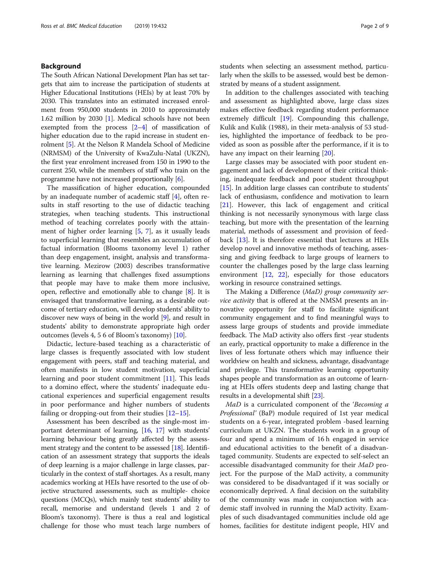# Background

The South African National Development Plan has set targets that aim to increase the participation of students at Higher Educational Institutions (HEIs) by at least 70% by 2030. This translates into an estimated increased enrolment from 950,000 students in 2010 to approximately 1.62 million by 2030 [[1\]](#page-7-0). Medical schools have not been exempted from the process  $[2-4]$  $[2-4]$  $[2-4]$  $[2-4]$  $[2-4]$  of massification of higher education due to the rapid increase in student enrolment [\[5](#page-7-0)]. At the Nelson R Mandela School of Medicine (NRMSM) of the University of KwaZulu-Natal (UKZN), the first year enrolment increased from 150 in 1990 to the current 250, while the members of staff who train on the programme have not increased proportionally [[6\]](#page-7-0).

The massification of higher education, compounded by an inadequate number of academic staff [\[4](#page-7-0)], often results in staff resorting to the use of didactic teaching strategies, when teaching students. This instructional method of teaching correlates poorly with the attainment of higher order learning [\[5](#page-7-0), [7](#page-7-0)], as it usually leads to superficial learning that resembles an accumulation of factual information (Blooms taxonomy level 1) rather than deep engagement, insight, analysis and transformative learning. Mezirow (2003) describes transformative learning as learning that challenges fixed assumptions that people may have to make them more inclusive, open, reflective and emotionally able to change [\[8\]](#page-7-0). It is envisaged that transformative learning, as a desirable outcome of tertiary education, will develop students' ability to discover new ways of being in the world [\[9\]](#page-7-0), and result in students' ability to demonstrate appropriate high order outcomes (levels 4, 5 6 of Bloom's taxonomy) [[10](#page-7-0)].

Didactic, lecture-based teaching as a characteristic of large classes is frequently associated with low student engagement with peers, staff and teaching material, and often manifests in low student motivation, superficial learning and poor student commitment [\[11](#page-7-0)]. This leads to a domino effect, where the students' inadequate educational experiences and superficial engagement results in poor performance and higher numbers of students failing or dropping-out from their studies [[12](#page-7-0)–[15](#page-7-0)].

Assessment has been described as the single-most important determinant of learning, [\[16,](#page-7-0) [17](#page-7-0)] with students' learning behaviour being greatly affected by the assessment strategy and the content to be assessed [[18](#page-7-0)]. Identification of an assessment strategy that supports the ideals of deep learning is a major challenge in large classes, particularly in the context of staff shortages. As a result, many academics working at HEIs have resorted to the use of objective structured assessments, such as multiple- choice questions (MCQs), which mainly test students' ability to recall, memorise and understand (levels 1 and 2 of Bloom's taxonomy). There is thus a real and logistical challenge for those who must teach large numbers of students when selecting an assessment method, particularly when the skills to be assessed, would best be demonstrated by means of a student assignment.

In addition to the challenges associated with teaching and assessment as highlighted above, large class sizes makes effective feedback regarding student performance extremely difficult [\[19](#page-7-0)]. Compounding this challenge, Kulik and Kulik (1988), in their meta-analysis of 53 studies, highlighted the importance of feedback to be provided as soon as possible after the performance, if it is to have any impact on their learning [\[20\]](#page-7-0).

Large classes may be associated with poor student engagement and lack of development of their critical thinking, inadequate feedback and poor student throughput [[15\]](#page-7-0). In addition large classes can contribute to students' lack of enthusiasm, confidence and motivation to learn [[21\]](#page-7-0). However, this lack of engagement and critical thinking is not necessarily synonymous with large class teaching, but more with the presentation of the learning material, methods of assessment and provision of feedback [[13\]](#page-7-0). It is therefore essential that lectures at HEIs develop novel and innovative methods of teaching, assessing and giving feedback to large groups of learners to counter the challenges posed by the large class learning environment [[12,](#page-7-0) [22](#page-7-0)], especially for those educators working in resource constrained settings.

The Making a Difference (MaD) group community service activity that is offered at the NMSM presents an innovative opportunity for staff to facilitate significant community engagement and to find meaningful ways to assess large groups of students and provide immediate feedback. The MaD activity also offers first -year students an early, practical opportunity to make a difference in the lives of less fortunate others which may influence their worldview on health and sickness, advantage, disadvantage and privilege. This transformative learning opportunity shapes people and transformation as an outcome of learning at HEIs offers students deep and lasting change that results in a developmental shift [[23](#page-7-0)].

MaD is a curriculated component of the 'Becoming a Professional' (BaP) module required of 1st year medical students on a 6-year, integrated problem -based learning curriculum at UKZN. The students work in a group of four and spend a minimum of 16 h engaged in service and educational activities to the benefit of a disadvantaged community. Students are expected to self-select an accessible disadvantaged community for their MaD project. For the purpose of the MaD activity, a community was considered to be disadvantaged if it was socially or economically deprived. A final decision on the suitability of the community was made in conjunction with academic staff involved in running the MaD activity. Examples of such disadvantaged communities include old age homes, facilities for destitute indigent people, HIV and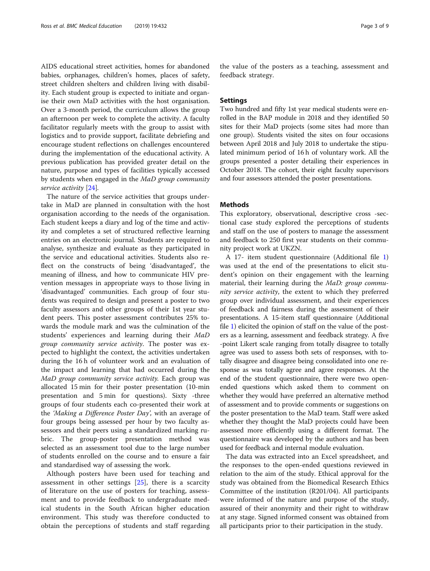AIDS educational street activities, homes for abandoned babies, orphanages, children's homes, places of safety, street children shelters and children living with disability. Each student group is expected to initiate and organise their own MaD activities with the host organisation. Over a 3-month period, the curriculum allows the group an afternoon per week to complete the activity. A faculty facilitator regularly meets with the group to assist with logistics and to provide support, facilitate debriefing and encourage student reflections on challenges encountered during the implementation of the educational activity. A previous publication has provided greater detail on the nature, purpose and types of facilities typically accessed by students when engaged in the MaD group community service activity [[24\]](#page-7-0).

The nature of the service activities that groups undertake in MaD are planned in consultation with the host organisation according to the needs of the organisation. Each student keeps a diary and log of the time and activity and completes a set of structured reflective learning entries on an electronic journal. Students are required to analyse, synthesize and evaluate as they participated in the service and educational activities. Students also reflect on the constructs of being 'disadvantaged', the meaning of illness, and how to communicate HIV prevention messages in appropriate ways to those living in 'disadvantaged' communities. Each group of four students was required to design and present a poster to two faculty assessors and other groups of their 1st year student peers. This poster assessment contributes 25% towards the module mark and was the culmination of the students' experiences and learning during their MaD group community service activity. The poster was expected to highlight the context, the activities undertaken during the 16 h of volunteer work and an evaluation of the impact and learning that had occurred during the MaD group community service activity. Each group was allocated 15 min for their poster presentation (10-min presentation and 5 min for questions). Sixty -three groups of four students each co-presented their work at the 'Making a Difference Poster Day', with an average of four groups being assessed per hour by two faculty assessors and their peers using a standardized marking rubric. The group-poster presentation method was selected as an assessment tool due to the large number of students enrolled on the course and to ensure a fair and standardised way of assessing the work.

Although posters have been used for teaching and assessment in other settings [[25\]](#page-7-0), there is a scarcity of literature on the use of posters for teaching, assessment and to provide feedback to undergraduate medical students in the South African higher education environment. This study was therefore conducted to obtain the perceptions of students and staff regarding

the value of the posters as a teaching, assessment and feedback strategy.

# Settings

Two hundred and fifty 1st year medical students were enrolled in the BAP module in 2018 and they identified 50 sites for their MaD projects (some sites had more than one group). Students visited the sites on four occasions between April 2018 and July 2018 to undertake the stipulated minimum period of 16 h of voluntary work. All the groups presented a poster detailing their experiences in October 2018. The cohort, their eight faculty supervisors and four assessors attended the poster presentations.

# **Methods**

This exploratory, observational, descriptive cross -sectional case study explored the perceptions of students and staff on the use of posters to manage the assessment and feedback to 250 first year students on their community project work at UKZN.

A 17- item student questionnaire (Additional file [1](#page-7-0)) was used at the end of the presentations to elicit student's opinion on their engagement with the learning material, their learning during the MaD: group community service activity, the extent to which they preferred group over individual assessment, and their experiences of feedback and fairness during the assessment of their presentations. A 15-item staff questionnaire (Additional file [1](#page-7-0)) elicited the opinion of staff on the value of the posters as a learning, assessment and feedback strategy. A five -point Likert scale ranging from totally disagree to totally agree was used to assess both sets of responses, with totally disagree and disagree being consolidated into one response as was totally agree and agree responses. At the end of the student questionnaire, there were two openended questions which asked them to comment on whether they would have preferred an alternative method of assessment and to provide comments or suggestions on the poster presentation to the MaD team. Staff were asked whether they thought the MaD projects could have been assessed more efficiently using a different format. The questionnaire was developed by the authors and has been used for feedback and internal module evaluation.

The data was extracted into an Excel spreadsheet, and the responses to the open-ended questions reviewed in relation to the aim of the study. Ethical approval for the study was obtained from the Biomedical Research Ethics Committee of the institution (R201/04). All participants were informed of the nature and purpose of the study, assured of their anonymity and their right to withdraw at any stage. Signed informed consent was obtained from all participants prior to their participation in the study.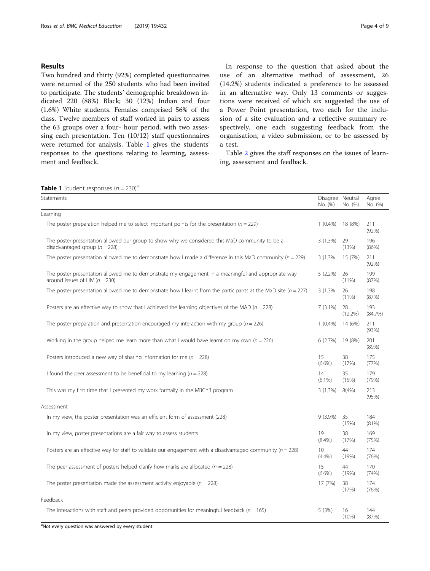# Results

Two hundred and thirty (92%) completed questionnaires were returned of the 250 students who had been invited to participate. The students' demographic breakdown indicated 220 (88%) Black; 30 (12%) Indian and four (1.6%) White students. Females comprised 56% of the class. Twelve members of staff worked in pairs to assess the 63 groups over a four- hour period, with two assessing each presentation. Ten (10/12) staff questionnaires were returned for analysis. Table 1 gives the students' responses to the questions relating to learning, assessment and feedback.

In response to the question that asked about the use of an alternative method of assessment, 26 (14.2%) students indicated a preference to be assessed in an alternative way. Only 13 comments or suggestions were received of which six suggested the use of a Power Point presentation, two each for the inclusion of a site evaluation and a reflective summary respectively, one each suggesting feedback from the organisation, a video submission, or to be assessed by a test.

Table [2](#page-4-0) gives the staff responses on the issues of learning, assessment and feedback.

| <b>Table 1</b> Student responses $(n = 230)^a$ |  |  |
|------------------------------------------------|--|--|
|------------------------------------------------|--|--|

| <b>GDIE</b> I DRUGLIR ISBOIIJS (II – 200)<br>Statements                                                                                   | Disagree Neutral<br>No. (%) | No. (%)          | Agree<br>No. (%) |
|-------------------------------------------------------------------------------------------------------------------------------------------|-----------------------------|------------------|------------------|
| Learning                                                                                                                                  |                             |                  |                  |
| The poster preparation helped me to select important points for the presentation ( $n = 229$ )                                            | $1(0.4\%)$                  | 18 (8%)          | 211<br>(92%)     |
| The poster presentation allowed our group to show why we considered this MaD community to be a<br>disadvantaged group ( $n = 228$ )       | 3(1.3%)                     | 29<br>(13%)      | 196<br>(86%)     |
| The poster presentation allowed me to demonstrate how I made a difference in this MaD community ( $n = 229$ )                             | 3 (1.3%)                    | 15 (7%)          | 211<br>(92%)     |
| The poster presentation allowed me to demonstrate my engagement in a meaningful and appropriate way<br>around issues of HIV ( $n = 230$ ) | $5(2.2\%)$                  | 26<br>$(11\%)$   | 199<br>(87%)     |
| The poster presentation allowed me to demonstrate how I learnt from the participants at the MaD site ( $n = 227$ )                        | 3 (1.3%)                    | 26<br>(11%)      | 198<br>(87%)     |
| Posters are an effective way to show that I achieved the learning objectives of the MAD ( $n = 228$ )                                     | $7(3.1\%)$                  | 28<br>$(12.2\%)$ | 193<br>(84.7%)   |
| The poster preparation and presentation encouraged my interaction with my group ( $n = 226$ )                                             | $1(0.4\%)$                  | 14 (6%)          | 211<br>(93%)     |
| Working in the group helped me learn more than what I would have learnt on my own ( $n = 226$ )                                           | 6(2.7%)                     | 19 (8%)          | 201<br>(89%)     |
| Posters introduced a new way of sharing information for me ( $n = 228$ )                                                                  | 15<br>$(6.6\%)$             | 38<br>(17%)      | 175<br>(77%)     |
| I found the peer assessment to be beneficial to my learning ( $n = 228$ )                                                                 | 14<br>$(6.1\%)$             | 35<br>(15%)      | 179<br>(79%)     |
| This was my first time that I presented my work formally in the MBChB program                                                             | 3(1.3%)                     | 8(4%)            | 213<br>(95%)     |
| Assessment                                                                                                                                |                             |                  |                  |
| In my view, the poster presentation was an efficient form of assessment (228)                                                             | $9(3.9\%)$                  | 35<br>(15%)      | 184<br>(81%)     |
| In my view, poster presentations are a fair way to assess students                                                                        | 19<br>$(8.4\%)$             | 38<br>(17%)      | 169<br>(75%)     |
| Posters are an effective way for staff to validate our engagement with a disadvantaged community ( $n = 228$ )                            | 10<br>(4.4%)                | 44<br>(19%)      | 174<br>(76%)     |
| The peer assessment of posters helped clarify how marks are allocated ( $n = 228$ )                                                       | 15<br>$(6.6\%)$             | 44<br>(19%)      | 170<br>(74%)     |
| The poster presentation made the assessment activity enjoyable ( $n = 228$ )                                                              | 17 (7%)                     | 38<br>(17%)      | 174<br>(76%)     |
| Feedback                                                                                                                                  |                             |                  |                  |
| The interactions with staff and peers provided opportunities for meaningful feedback ( $n = 165$ )                                        | 5 (3%)                      | 16<br>$(10\%)$   | 144<br>(87%)     |

<sup>a</sup>Not every question was answered by every student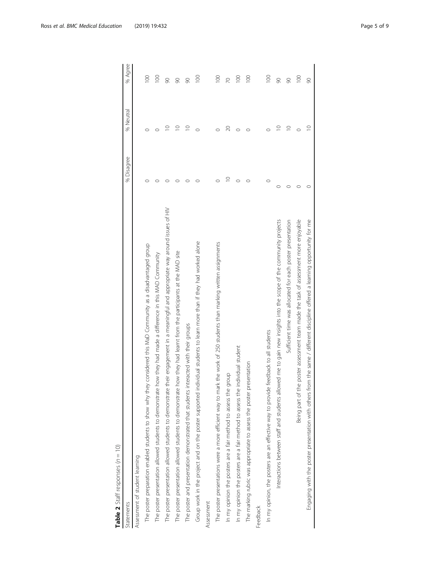| ¢<br>)           |
|------------------|
| I<br>S           |
| Ç<br>١<br>J<br>j |
| <br>)<br>١<br>١  |
| í<br>Я           |
| ¢<br>I           |
| t                |
|                  |
|                  |

<span id="page-4-0"></span>

| Statements                                                                                                                           | % Disagree  | % Neutral   | % Agree          |
|--------------------------------------------------------------------------------------------------------------------------------------|-------------|-------------|------------------|
| Assessment of student learning                                                                                                       |             |             |                  |
| The poster preparation enabled students to show why they considered this MaD Community as a disadvantaged group                      |             |             | $\approx$        |
| The poster presentation allowed students to demonstrate how they had made a difference in this MAD Community                         |             |             | $\overline{100}$ |
| their engagement in a meaningful and appropriate way around issues of HIV<br>The poster presentation allowed students to demonstrate |             | ⊇           | 8                |
| how they had learnt from the participants at the MAD site<br>The poster presentation allowed students to demonstrate                 |             | $\subseteq$ | 8                |
| The poster and presentation demonstrated that students interacted with their groups                                                  |             | $\supseteq$ | 90               |
| Group work in the project and on the poster supported individual students to learn more than if they had worked alone                |             |             | $\approx$        |
| Assessment                                                                                                                           |             |             |                  |
| The poster presentations were a more efficient way to mark the work of 250 students than marking written assignments                 |             |             | $\approx$        |
| In my opinion the posters are a fair method to assess the group                                                                      | $\supseteq$ | $\infty$    | $\overline{2}$   |
| individual student<br>In my opinion the posters are a fair method to assess the                                                      | $\circ$     |             | $\frac{8}{1}$    |
| resentation<br>The marking rubric was appropriate to assess the poster pr                                                            |             |             | $\approx$        |
| Feedback                                                                                                                             |             |             |                  |
| In my opinion, the posters are an effective way to provide feedback to all students                                                  | $\circ$     |             | $\overline{100}$ |
| Interactions between staff and students allowed me to gain new insights into the scope of the community projects                     | $\circ$     | $\supseteq$ | 90               |
| Sufficient time was allocated for each poster presentation                                                                           |             | $\supseteq$ | 90               |
| Being part of the poster assessment team made the task of assessment more enjoyable                                                  |             |             | $\approx$        |
| Engaging with the poster presentation with others from the same / different discipline offered a learning opportunity for me         |             | $\supseteq$ | 90               |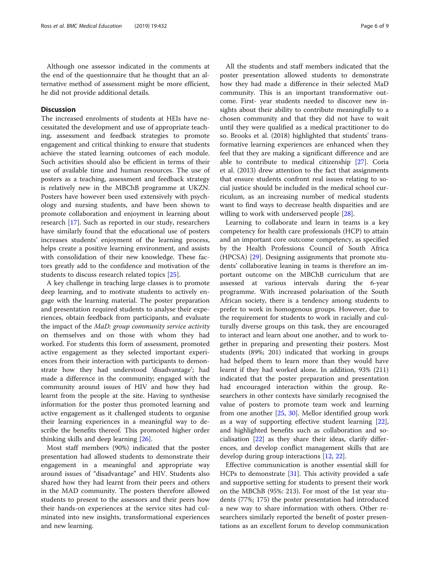Although one assessor indicated in the comments at the end of the questionnaire that he thought that an alternative method of assessment might be more efficient, he did not provide additional details.

# **Discussion**

The increased enrolments of students at HEIs have necessitated the development and use of appropriate teaching, assessment and feedback strategies to promote engagement and critical thinking to ensure that students achieve the stated learning outcomes of each module. Such activities should also be efficient in terms of their use of available time and human resources. The use of posters as a teaching, assessment and feedback strategy is relatively new in the MBChB programme at UKZN. Posters have however been used extensively with psychology and nursing students, and have been shown to promote collaboration and enjoyment in learning about research [\[17](#page-7-0)]. Such as reported in our study, researchers have similarly found that the educational use of posters increases students' enjoyment of the learning process, helps create a positive learning environment, and assists with consolidation of their new knowledge. These factors greatly add to the confidence and motivation of the students to discuss research related topics [[25\]](#page-7-0).

A key challenge in teaching large classes is to promote deep learning, and to motivate students to actively engage with the learning material. The poster preparation and presentation required students to analyse their experiences, obtain feedback from participants, and evaluate the impact of the MaD: group community service activity on themselves and on those with whom they had worked. For students this form of assessment, promoted active engagement as they selected important experiences from their interaction with participants to demonstrate how they had understood 'disadvantage'; had made a difference in the community; engaged with the community around issues of HIV and how they had learnt from the people at the site. Having to synthesise information for the poster thus promoted learning and active engagement as it challenged students to organise their learning experiences in a meaningful way to describe the benefits thereof. This promoted higher order thinking skills and deep learning [\[26\]](#page-7-0).

Most staff members (90%) indicated that the poster presentation had allowed students to demonstrate their engagement in a meaningful and appropriate way around issues of "disadvantage" and HIV. Students also shared how they had learnt from their peers and others in the MAD community. The posters therefore allowed students to present to the assessors and their peers how their hands-on experiences at the service sites had culminated into new insights, transformational experiences and new learning.

All the students and staff members indicated that the poster presentation allowed students to demonstrate how they had made a difference in their selected MaD community. This is an important transformative outcome. First- year students needed to discover new insights about their ability to contribute meaningfully to a chosen community and that they did not have to wait until they were qualified as a medical practitioner to do so. Brooks et al. (2018) highlighted that students' transformative learning experiences are enhanced when they feel that they are making a significant difference and are able to contribute to medical citizenship [[27\]](#page-7-0). Coria et al. (2013) drew attention to the fact that assignments that ensure students confront real issues relating to social justice should be included in the medical school curriculum, as an increasing number of medical students want to find ways to decrease health disparities and are willing to work with underserved people [\[28](#page-7-0)].

Learning to collaborate and learn in teams is a key competency for health care professionals (HCP) to attain and an important core outcome competency, as specified by the Health Professions Council of South Africa (HPCSA) [\[29](#page-7-0)]. Designing assignments that promote students' collaborative leaning in teams is therefore an important outcome on the MBChB curriculum that are assessed at various intervals during the 6-year programme. With increased polarisation of the South African society, there is a tendency among students to prefer to work in homogenous groups. However, due to the requirement for students to work in racially and culturally diverse groups on this task, they are encouraged to interact and learn about one another, and to work together in preparing and presenting their posters. Most students (89%; 201) indicated that working in groups had helped them to learn more than they would have learnt if they had worked alone. In addition, 93% (211) indicated that the poster preparation and presentation had encouraged interaction within the group. Researchers in other contexts have similarly recognised the value of posters to promote team work and learning from one another [\[25](#page-7-0), [30](#page-7-0)]. Mellor identified group work as a way of supporting effective student learning [\[22](#page-7-0)], and highlighted benefits such as collaboration and socialisation  $[22]$  $[22]$  $[22]$  as they share their ideas, clarify differences, and develop conflict management skills that are develop during group interactions [\[12,](#page-7-0) [22\]](#page-7-0).

Effective communication is another essential skill for HCPs to demonstrate [[31\]](#page-7-0). This activity provided a safe and supportive setting for students to present their work on the MBChB (95%: 213). For most of the 1st year students (77%; 175) the poster presentation had introduced a new way to share information with others. Other researchers similarly reported the benefit of poster presentations as an excellent forum to develop communication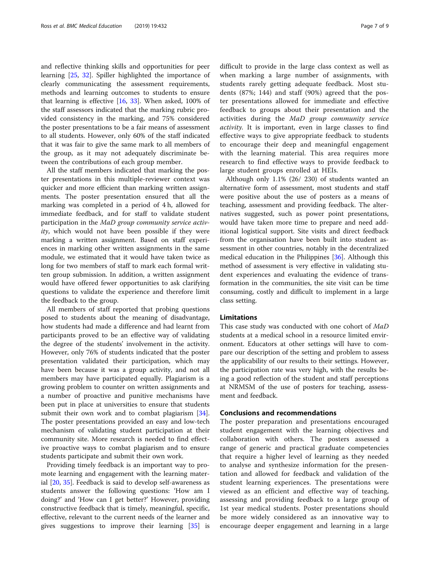and reflective thinking skills and opportunities for peer learning [\[25](#page-7-0), [32\]](#page-8-0). Spiller highlighted the importance of clearly communicating the assessment requirements, methods and learning outcomes to students to ensure that learning is effective [[16](#page-7-0), [33](#page-8-0)]. When asked, 100% of the staff assessors indicated that the marking rubric provided consistency in the marking, and 75% considered the poster presentations to be a fair means of assessment to all students. However, only 60% of the staff indicated that it was fair to give the same mark to all members of the group, as it may not adequately discriminate between the contributions of each group member.

All the staff members indicated that marking the poster presentations in this multiple-reviewer context was quicker and more efficient than marking written assignments. The poster presentation ensured that all the marking was completed in a period of 4 h, allowed for immediate feedback, and for staff to validate student participation in the MaD group community service activity, which would not have been possible if they were marking a written assignment. Based on staff experiences in marking other written assignments in the same module, we estimated that it would have taken twice as long for two members of staff to mark each formal written group submission. In addition, a written assignment would have offered fewer opportunities to ask clarifying questions to validate the experience and therefore limit the feedback to the group.

All members of staff reported that probing questions posed to students about the meaning of disadvantage, how students had made a difference and had learnt from participants proved to be an effective way of validating the degree of the students' involvement in the activity. However, only 76% of students indicated that the poster presentation validated their participation, which may have been because it was a group activity, and not all members may have participated equally. Plagiarism is a growing problem to counter on written assignments and a number of proactive and punitive mechanisms have been put in place at universities to ensure that students submit their own work and to combat plagiarism [\[34](#page-8-0)]. The poster presentations provided an easy and low-tech mechanism of validating student participation at their community site. More research is needed to find effective proactive ways to combat plagiarism and to ensure students participate and submit their own work.

Providing timely feedback is an important way to promote learning and engagement with the learning material [\[20](#page-7-0), [35](#page-8-0)]. Feedback is said to develop self-awareness as students answer the following questions: 'How am I doing?' and 'How can I get better?' However, providing constructive feedback that is timely, meaningful, specific, effective, relevant to the current needs of the learner and gives suggestions to improve their learning [[35\]](#page-8-0) is

difficult to provide in the large class context as well as when marking a large number of assignments, with students rarely getting adequate feedback. Most students (87%; 144) and staff (90%) agreed that the poster presentations allowed for immediate and effective feedback to groups about their presentation and the activities during the MaD group community service activity. It is important, even in large classes to find effective ways to give appropriate feedback to students to encourage their deep and meaningful engagement with the learning material. This area requires more research to find effective ways to provide feedback to large student groups enrolled at HEIs.

Although only 1.1% (26/ 230) of students wanted an alternative form of assessment, most students and staff were positive about the use of posters as a means of teaching, assessment and providing feedback. The alternatives suggested, such as power point presentations, would have taken more time to prepare and need additional logistical support. Site visits and direct feedback from the organisation have been built into student assessment in other countries, notably in the decentralized medical education in the Philippines [\[36\]](#page-8-0). Although this method of assessment is very effective in validating student experiences and evaluating the evidence of transformation in the communities, the site visit can be time consuming, costly and difficult to implement in a large class setting.

### Limitations

This case study was conducted with one cohort of MaD students at a medical school in a resource limited environment. Educators at other settings will have to compare our description of the setting and problem to assess the applicability of our results to their settings. However, the participation rate was very high, with the results being a good reflection of the student and staff perceptions at NRMSM of the use of posters for teaching, assessment and feedback.

# Conclusions and recommendations

The poster preparation and presentations encouraged student engagement with the learning objectives and collaboration with others. The posters assessed a range of generic and practical graduate competencies that require a higher level of learning as they needed to analyse and synthesize information for the presentation and allowed for feedback and validation of the student learning experiences. The presentations were viewed as an efficient and effective way of teaching, assessing and providing feedback to a large group of 1st year medical students. Poster presentations should be more widely considered as an innovative way to encourage deeper engagement and learning in a large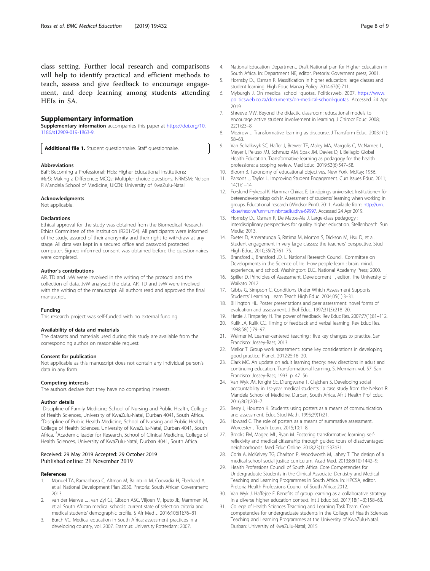<span id="page-7-0"></span>class setting. Further local research and comparisons will help to identify practical and efficient methods to teach, assess and give feedback to encourage engagement, and deep learning among students attending HEIs in SA.

# Supplementary information

Supplementary information accompanies this paper at [https://doi.org/10.](https://doi.org/10.1186/s12909-019-1863-9) [1186/s12909-019-1863-9.](https://doi.org/10.1186/s12909-019-1863-9)

Additional file 1. Student questionnaire. Staff questionnaire.

#### Abbreviations

BaP: Becoming a Professional; HEIs: Higher Educational Institutions; MaD: Making a Difference; MCQs: Multiple- choice questions; NRMSM: Nelson R Mandela School of Medicine; UKZN: University of KwaZulu-Natal

#### Acknowledgments

Not applicable.

#### Declarations

Ethical approval for the study was obtained from the Biomedical Research Ethics Committee of the institution (R201/04). All participants were informed of the study, assured of their anonymity and their right to withdraw at any stage. All data was kept in a secured office and password protected computer. Signed informed consent was obtained before the questionnaires were completed.

#### Author's contributions

AR, TD and JvW were involved in the writing of the protocol and the collection of data. JvW analysed the data. AR, TD and JvW were involved with the writing of the manuscript. All authors read and approved the final manuscript.

#### Funding

This research project was self-funded with no external funding.

#### Availability of data and materials

The datasets and materials used during this study are available from the corresponding author on reasonable request.

#### Consent for publication

Not applicable as this manuscript does not contain any individual person's data in any form.

#### Competing interests

The authors declare that they have no competing interests.

#### Author details

<sup>1</sup>Discipline of Family Medicine, School of Nursing and Public Health, College of Health Sciences, University of KwaZulu-Natal, Durban 4041, South Africa. <sup>2</sup>Discipline of Public Health Medicine, School of Nursing and Public Health, College of Health Sciences, University of KwaZulu-Natal, Durban 4041, South Africa. <sup>3</sup>Academic leader for Research, School of Clinical Medicine, College of Health Sciences, University of KwaZulu-Natal, Durban 4041, South Africa.

#### Received: 29 May 2019 Accepted: 29 October 2019 Published online: 21 November 2019

#### References

- 1. Manuel TA, Ramaphosa C, Altman M, Balintulo M, Coovadia H, Eberhard A, et al. National Development Plan 2030. Pretoria: South African Government; 2013.
- 2. van der Merwe LJ, van Zyl GJ, Gibson ASC, Viljoen M, Iputo JE, Mammen M, et al. South African medical schools: current state of selection criteria and medical students' demographic profile. S Afr Med J. 2016;106(1):76–81.
- Burch VC. Medical education in South Africa: assessment practices in a developing country, vol. 2007. Erasmus: University Rotterdam; 2007.
- 4. National Education Department. Draft National plan for Higher Education in South Africa. In: Department NE, editor. Pretoria: Goverment press; 2001.
- 5. Hornsby DJ, Osman R. Massification in higher education: large classes and student learning. High Educ Manag Policy. 2014;67(6):711.
- 6. Myburgh J. On medical school 'quotas. Politicsweb. 2007. [https://www.](https://www.politicsweb.co.za/documents/on-medical-school-quotas) [politicsweb.co.za/documents/on-medical-school-quotas](https://www.politicsweb.co.za/documents/on-medical-school-quotas). Accessed 24 Apr 2019
- 7. Shreeve MW. Beyond the didactic classroom: educational models to encourage active student involvement in learning. J Chiropr Educ. 2008; 22(1):23–8.
- 8. Mezirow J. Transformative learning as discourse. J Transform Educ. 2003;1(1): 58–63.
- 9. Van Schalkwyk SC, Hafler J, Brewer TF, Maley MA, Margolis C, McNamee L, Meyer I, Peluso MJ, Schmutz AM, Spak JM, Davies D, I. Bellagio Global Health Education. Transformative learning as pedagogy for the health professions: a scoping review. Med Educ. 2019;53(6):547–58.
- 10. Bloom B. Taxonomy of educational objectives. New York: McKay; 1956.
- 11. Parsons J, Taylor L. Improving Student Engagement. Curr Issues Educ. 2011; 14(1):1–14.
- 12. Forslund Frykedal K, Hammar Chiriac E, Linköpings universitet. Institutionen för beteendevetenskap och lr. Assessment of students' learning when working in groups. Educational research (Windsor Print). 2011. Available from: [http://urn.](http://urn.kb.se/resolve?urn=urn:nbn:se:liu:diva-69997) [kb.se/resolve?urn=urn:nbn:se:liu:diva-69997](http://urn.kb.se/resolve?urn=urn:nbn:se:liu:diva-69997). Accessed 24 Apr 2019.
- 13. Hornsby DJ, Osman R, De Matos-Ala J. Large-class pedagogy interdisciplinary perspectives for quality higher education. Stellenbosch: Sun Media; 2013.
- 14. Exeter D, Ameratunga S, Ratima M, Morton S, Dickson M, Hsu D, et al. Student engagement in very large classes: the teachers' perspective. Stud High Educ. 2010;35(7):761–75.
- 15. Bransford J, Bransford JD, L. National Research Council. Committee on Developments in the Science of. In: How people learn : brain, mind, experience, and school. Washington: D.C., National Academy Press; 2000.
- 16. Spiller D. Principles of Assessment. Development T, editor. The University of Waikato 2012.
- 17. Gibbs G, Simpson C. Conditions Under Which Assessment Supports Students' Learning. Learn Teach High Educ. 2004;05(1):3–31.
- 18. Billington HL. Poster presentations and peer assessment: novel forms of evaluation and assessment. J Biol Educ. 1997;31(3):218–20.
- 19. Hattie J, Timperley H. The power of feedback. Rev Educ Res. 2007;77(1):81–112.
- 20. Kulik JA, Kulik CC. Timing of feedback and verbal learning. Rev Educ Res. 1988;58(1):79–97.
- 21. Weimer M. Learner-centered teaching : five key changes to practice. San Francisco: Jossey-Bass; 2013.
- 22. Mellor T. Group work assessment: some key considerations in developing good practice. Planet. 2012;25:16–20.
- 23. Clark MC. An update on adult learning theory: new directions in adult and continuing education. Transformational learning. S. Merrriam, vol. 57. San Francisco: Jossey-Bass; 1993. p. 47–56.
- 24. Van Wyk JM, Knight SE, Dlungwane T, Glajchen S. Developing social accountability in 1st-year medical students : a case study from the Nelson R Mandela School of Medicine, Durban, South Africa. Afr J Health Prof Educ. 2016;8(2):203–7.
- 25. Berry J, Houston K. Students using posters as a means of communication and assessment. Educ Stud Math. 1995;29(1):21.
- 26. Howard C. The role of posters as a means of summative assessment. Worcester J Teach Learn. 2015;10:1–8.
- 27. Brooks EM, Magee ML, Ryan M. Fostering transformative learning, selfreflexivity and medical citizenship through guided tours of disadvantaged neighborhoods. Med Educ Online. 2018;23(1):1537431.
- 28. Coria A, McKelvey TG, Charlton P, Woodworth M, Lahey T. The design of a medical school social justice curriculum. Acad Med. 2013;88(10):1442–9.
- 29. Health Professions Council of South Africa. Core Competencies for Undergraduate Students in the Clinical Associate, Dentistry and Medical Teaching and Learning Programmes in South Africa. In: HPCSA, editor. Pretoria Health Professions Council of South Africa; 2012.
- 30. Van Wyk J, Haffejee F. Benefits of group learning as a collaborative strategy in a diverse higher education context. Int J Educ Sci. 2017;18(1–3):158–63.
- 31. College of Health Sciences Teaching and Learning Task Team. Core competencies for undergraduate students in the College of Health Sciences Teaching and Learning Programmes at the University of KwaZulu-Natal. Durban: University of KwaZulu-Natal; 2015.